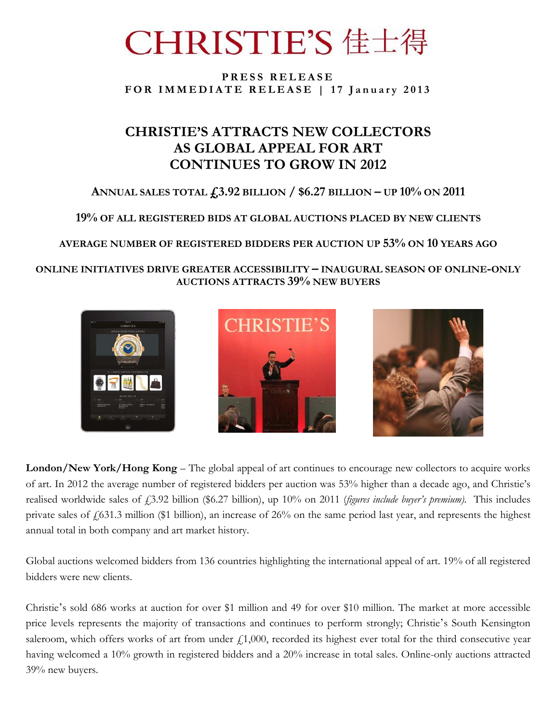# CHRISTIE'S 佳士得

### **P R E S S R E L E A S E**  FOR IMMEDIATE RELEASE | 17 January 2013

# **CHRISTIE'S ATTRACTS NEW COLLECTORS AS GLOBAL APPEAL FOR ART CONTINUES TO GROW IN 2012**

# **ANNUAL SALES TOTAL £3.92 BILLION / \$6.27 BILLION – UP 10% ON 2011**

**19% OF ALL REGISTERED BIDS AT GLOBAL AUCTIONS PLACED BY NEW CLIENTS**

## **AVERAGE NUMBER OF REGISTERED BIDDERS PER AUCTION UP 53% ON 10 YEARS AGO**

**ONLINE INITIATIVES DRIVE GREATER ACCESSIBILITY – INAUGURAL SEASON OF ONLINE-ONLY AUCTIONS ATTRACTS 39% NEW BUYERS**



**London/New York/Hong Kong** – The global appeal of art continues to encourage new collectors to acquire works of art. In 2012 the average number of registered bidders per auction was 53% higher than a decade ago, and Christie's realised worldwide sales of £3.92 billion (\$6.27 billion), up 10% on 2011 (*figures include buyer's premium*). This includes private sales of £631.3 million (\$1 billion), an increase of 26% on the same period last year, and represents the highest annual total in both company and art market history.

Global auctions welcomed bidders from 136 countries highlighting the international appeal of art. 19% of all registered bidders were new clients.

Christie's sold 686 works at auction for over \$1 million and 49 for over \$10 million. The market at more accessible price levels represents the majority of transactions and continues to perform strongly; Christie's South Kensington saleroom, which offers works of art from under  $f(1,000)$ , recorded its highest ever total for the third consecutive year having welcomed a 10% growth in registered bidders and a 20% increase in total sales. Online-only auctions attracted 39% new buyers.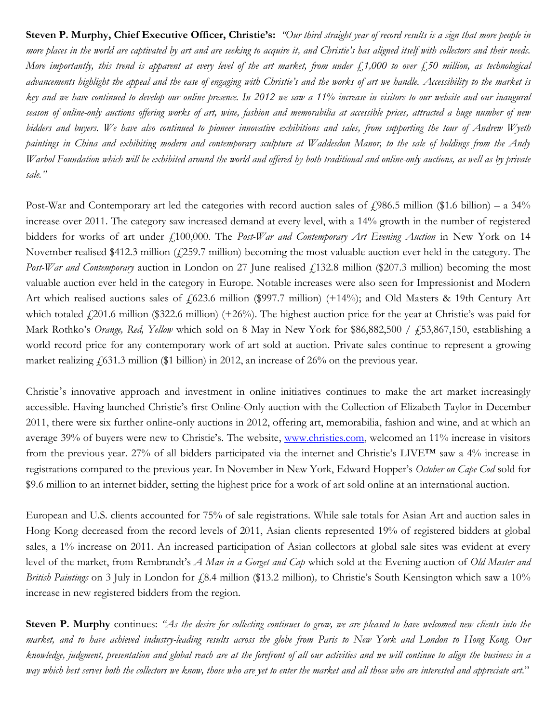**Steven P. Murphy, Chief Executive Officer, Christie's:** *"Our third straight year of record results is a sign that more people in more places in the world are captivated by art and are seeking to acquire it, and Christie's has aligned itself with collectors and their needs. More importantly, this trend is apparent at every level of the art market, from under £1,000 to over £50 million, as technological advancements highlight the appeal and the ease of engaging with Christie's and the works of art we handle. Accessibility to the market is key and we have continued to develop our online presence. In 2012 we saw a 11% increase in visitors to our website and our inaugural season of online-only auctions offering works of art, wine, fashion and memorabilia at accessible prices, attracted a huge number of new bidders and buyers. We have also continued to pioneer innovative exhibitions and sales, from supporting the tour of Andrew Wyeth paintings in China and exhibiting modern and contemporary sculpture at Waddesdon Manor, to the sale of holdings from the Andy Warhol Foundation which will be exhibited around the world and offered by both traditional and online-only auctions, as well as by private sale."*

Post-War and Contemporary art led the categories with record auction sales of  $\ell$ 986.5 million (\$1.6 billion) – a 34% increase over 2011. The category saw increased demand at every level, with a 14% growth in the number of registered bidders for works of art under £100,000. The *Post-War and Contemporary Art Evening Auction* in New York on 14 November realised \$412.3 million  $(f259.7 \text{ million})$  becoming the most valuable auction ever held in the category. The *Post-War and Contemporary* auction in London on 27 June realised  $\ell$ 132.8 million (\$207.3 million) becoming the most valuable auction ever held in the category in Europe. Notable increases were also seen for Impressionist and Modern Art which realised auctions sales of £623.6 million (\$997.7 million) (+14%); and Old Masters & 19th Century Art which totaled  $\ell$  201.6 million (\$322.6 million) (+26%). The highest auction price for the year at Christie's was paid for Mark Rothko's *Orange, Red, Yellow* which sold on 8 May in New York for \$86,882,500 / ₤53,867,150, establishing a world record price for any contemporary work of art sold at auction. Private sales continue to represent a growing market realizing  $\frac{1}{631.3}$  million (\$1 billion) in 2012, an increase of 26% on the previous year.

Christie's innovative approach and investment in online initiatives continues to make the art market increasingly accessible. Having launched Christie's first Online-Only auction with the Collection of Elizabeth Taylor in December 2011, there were six further online-only auctions in 2012, offering art, memorabilia, fashion and wine, and at which an average 39% of buyers were new to Christie's. The website, [www.christies.com,](http://www.christies.com/) welcomed an 11% increase in visitors from the previous year. 27% of all bidders participated via the internet and Christie's LIVE™ saw a 4% increase in registrations compared to the previous year. In November in New York, Edward Hopper's *October on Cape Cod* sold for \$9.6 million to an internet bidder, setting the highest price for a work of art sold online at an international auction.

European and U.S. clients accounted for 75% of sale registrations. While sale totals for Asian Art and auction sales in Hong Kong decreased from the record levels of 2011, Asian clients represented 19% of registered bidders at global sales, a 1% increase on 2011. An increased participation of Asian collectors at global sale sites was evident at every level of the market, from Rembrandt's *A Man in a Gorget and Cap* which sold at the Evening auction of *Old Master and British Paintings* on 3 July in London for £8.4 million (\$13.2 million), to Christie's South Kensington which saw a 10% increase in new registered bidders from the region.

**Steven P. Murphy** continues: *"As the desire for collecting continues to grow, we are pleased to have welcomed new clients into the market, and to have achieved industry-leading results across the globe from Paris to New York and London to Hong Kong. Our knowledge, judgment, presentation and global reach are at the forefront of all our activities and we will continue to align the business in a*  way which best serves both the collectors we know, those who are yet to enter the market and all those who are interested and appreciate art."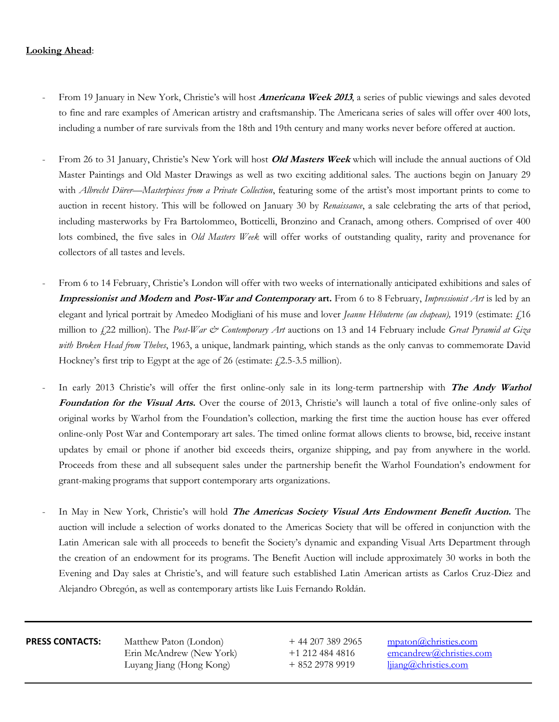### **Looking Ahead**:

- From 19 January in New York, Christie's will host **Americana Week 2013**, a series of public viewings and sales devoted to fine and rare examples of American artistry and craftsmanship. The Americana series of sales will offer over 400 lots, including a number of rare survivals from the 18th and 19th century and many works never before offered at auction.
- From 26 to 31 January, Christie's New York will host **Old Masters Week** which will include the annual auctions of Old Master Paintings and Old Master Drawings as well as two exciting additional sales. The auctions begin on January 29 with *Albrecht Dürer—Masterpieces from a Private Collection*, featuring some of the artist's most important prints to come to auction in recent history. This will be followed on January 30 by *Renaissance*, a sale celebrating the arts of that period, including masterworks by Fra Bartolommeo, Botticelli, Bronzino and Cranach, among others. Comprised of over 400 lots combined, the five sales in *Old Masters Week* will offer works of outstanding quality, rarity and provenance for collectors of all tastes and levels.
- From 6 to 14 February, Christie's London will offer with two weeks of internationally anticipated exhibitions and sales of **Impressionist and Modern and Post-War and Contemporary art.** From 6 to 8 February, *Impressionist Art* is led by an elegant and lyrical portrait by Amedeo Modigliani of his muse and lover *Jeanne Hébuterne (au chapeau)*, 1919 (estimate: £16 million to £22 million). The *Post-War & Contemporary Art* auctions on 13 and 14 February include *Great Pyramid at Giza with Broken Head from Thebes*, 1963, a unique, landmark painting, which stands as the only canvas to commemorate David Hockney's first trip to Egypt at the age of 26 (estimate:  $f(2.5-3.5 \text{ million})$ ).
- In early 2013 Christie's will offer the first online-only sale in its long-term partnership with **The Andy Warhol Foundation for the Visual Arts.** Over the course of 2013, Christie's will launch a total of five online-only sales of original works by Warhol from the Foundation's collection, marking the first time the auction house has ever offered online-only Post War and Contemporary art sales. The timed online format allows clients to browse, bid, receive instant updates by email or phone if another bid exceeds theirs, organize shipping, and pay from anywhere in the world. Proceeds from these and all subsequent sales under the partnership benefit the Warhol Foundation's endowment for grant-making programs that support contemporary arts organizations.
- In May in New York, Christie's will hold **The Americas Society Visual Arts Endowment Benefit Auction.** The auction will include a selection of works donated to the Americas Society that will be offered in conjunction with the Latin American sale with all proceeds to benefit the Society's dynamic and expanding Visual Arts Department through the creation of an endowment for its programs. The Benefit Auction will include approximately 30 works in both the Evening and Day sales at Christie's, and will feature such established Latin American artists as Carlos Cruz-Diez and Alejandro Obregón, as well as contemporary artists like Luis Fernando Roldán.

**PRESS CONTACTS:** Matthew Paton (London)  $+ 44 207 389 2965$  mpaton *(a)*christies.com Erin McAndrew (New York)  $+1$  212 484 4816 [emcandrew@christies.com](mailto:emcandrew@christies.com) Luyang Jiang (Hong Kong)  $+ 852 2978 9919$   $\frac{1}{\text{iiang}}$  and the set of the set of the set of the set of the set of the set of the set of the set of the set of the set of the set of the set of the set of the set of the se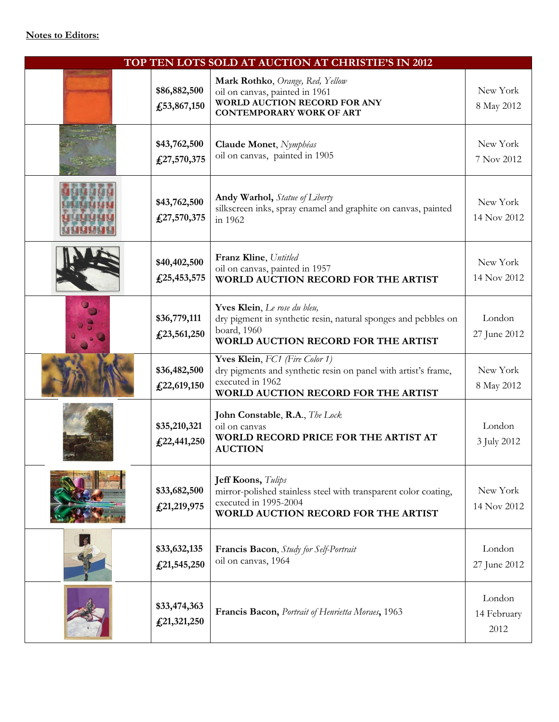### **Notes to Editors:**

| TOP TEN LOTS SOLD AT AUCTION AT CHRISTIE'S IN 2012 |                                 |                                                                                                                                                              |                               |  |
|----------------------------------------------------|---------------------------------|--------------------------------------------------------------------------------------------------------------------------------------------------------------|-------------------------------|--|
|                                                    | \$86,882,500<br>£, 53, 867, 150 | Mark Rothko, Orange, Red, Yellow<br>oil on canvas, painted in 1961<br><b>WORLD AUCTION RECORD FOR ANY</b><br><b>CONTEMPORARY WORK OF ART</b>                 | New York<br>8 May 2012        |  |
|                                                    | \$43,762,500<br>£27,570,375     | Claude Monet, Nymphéas<br>oil on canvas, painted in 1905                                                                                                     | New York<br>7 Nov 2012        |  |
|                                                    | \$43,762,500<br>£27,570,375     | <b>Andy Warhol,</b> Statue of Liberty<br>silkscreen inks, spray enamel and graphite on canvas, painted<br>in 1962                                            | New York<br>14 Nov 2012       |  |
|                                                    | \$40,402,500<br>£25,453,575     | Franz Kline, Untitled<br>oil on canvas, painted in 1957<br><b>WORLD AUCTION RECORD FOR THE ARTIST</b>                                                        | New York<br>14 Nov 2012       |  |
|                                                    | \$36,779,111<br>£23,561,250     | Yves Klein, Le rose du bleu,<br>dry pigment in synthetic resin, natural sponges and pebbles on<br>board, 1960<br>WORLD AUCTION RECORD FOR THE ARTIST         | London<br>27 June 2012        |  |
|                                                    | \$36,482,500<br>£22,619,150     | Yves Klein, FC1 (Fire Color 1)<br>dry pigments and synthetic resin on panel with artist's frame,<br>executed in 1962<br>WORLD AUCTION RECORD FOR THE ARTIST  | New York<br>8 May 2012        |  |
|                                                    | \$35,210,321<br>£22,441,250     | John Constable, R.A., The Lock<br>oil on canvas<br>WORLD RECORD PRICE FOR THE ARTIST AT<br><b>AUCTION</b>                                                    | London<br>3 July 2012         |  |
|                                                    | \$33,682,500<br>£21,219,975     | Jeff Koons, Tulips<br>mirror-polished stainless steel with transparent color coating,<br>executed in 1995-2004<br><b>WORLD AUCTION RECORD FOR THE ARTIST</b> | New York<br>14 Nov 2012       |  |
|                                                    | \$33,632,135<br>£21,545,250     | Francis Bacon, Study for Self-Portrait<br>oil on canvas, 1964                                                                                                | London<br>27 June 2012        |  |
|                                                    | \$33,474,363<br>£21,321,250     | Francis Bacon, Portrait of Henrietta Moraes, 1963                                                                                                            | London<br>14 February<br>2012 |  |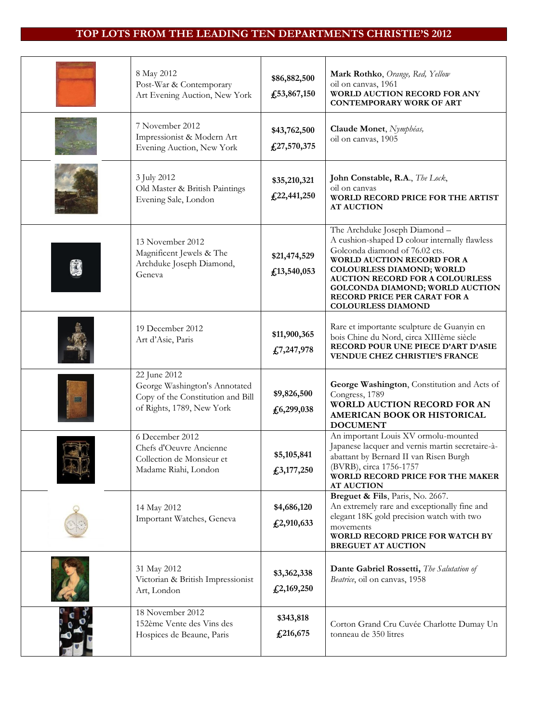## **TOP LOTS FROM THE LEADING TEN DEPARTMENTS CHRISTIE'S 2012**

| 8 May 2012<br>Post-War & Contemporary<br>Art Evening Auction, New York                                          | \$86,882,500<br>£53,867,150 | Mark Rothko, Orange, Red, Yellow<br>oil on canvas, 1961<br>WORLD AUCTION RECORD FOR ANY<br><b>CONTEMPORARY WORK OF ART</b>                                                                                                                                                                                                          |
|-----------------------------------------------------------------------------------------------------------------|-----------------------------|-------------------------------------------------------------------------------------------------------------------------------------------------------------------------------------------------------------------------------------------------------------------------------------------------------------------------------------|
| 7 November 2012<br>Impressionist & Modern Art<br>Evening Auction, New York                                      | \$43,762,500<br>£27,570,375 | Claude Monet, Nymphéas,<br>oil on canvas, 1905                                                                                                                                                                                                                                                                                      |
| 3 July 2012<br>Old Master & British Paintings<br>Evening Sale, London                                           | \$35,210,321<br>£22,441,250 | John Constable, R.A., The Lock,<br>oil on canvas<br>WORLD RECORD PRICE FOR THE ARTIST<br><b>AT AUCTION</b>                                                                                                                                                                                                                          |
| 13 November 2012<br>Magnificent Jewels & The<br>Archduke Joseph Diamond,<br>Geneva                              | \$21,474,529<br>£13,540,053 | The Archduke Joseph Diamond -<br>A cushion-shaped D colour internally flawless<br>Golconda diamond of 76.02 cts.<br><b>WORLD AUCTION RECORD FOR A</b><br>COLOURLESS DIAMOND; WORLD<br><b>AUCTION RECORD FOR A COLOURLESS</b><br><b>GOLCONDA DIAMOND; WORLD AUCTION</b><br>RECORD PRICE PER CARAT FOR A<br><b>COLOURLESS DIAMOND</b> |
| 19 December 2012<br>Art d'Asie, Paris                                                                           | \$11,900,365<br>£7,247,978  | Rare et importante sculpture de Guanyin en<br>bois Chine du Nord, circa XIIIème siècle<br>RECORD POUR UNE PIECE D'ART D'ASIE<br><b>VENDUE CHEZ CHRISTIE'S FRANCE</b>                                                                                                                                                                |
| 22 June 2012<br>George Washington's Annotated<br>Copy of the Constitution and Bill<br>of Rights, 1789, New York | \$9,826,500<br>£6,299,038   | George Washington, Constitution and Acts of<br>Congress, 1789<br><b>WORLD AUCTION RECORD FOR AN</b><br>AMERICAN BOOK OR HISTORICAL<br><b>DOCUMENT</b>                                                                                                                                                                               |
| 6 December 2012<br>Chefs d'Oeuvre Ancienne<br>Collection de Monsieur et<br>Madame Riahi, London                 | \$5,105,841<br>£3,177,250   | An important Louis XV ormolu-mounted<br>Japanese lacquer and vernis martin secretaire-à-<br>abattant by Bernard II van Risen Burgh<br>(BVRB), circa 1756-1757<br>WORLD RECORD PRICE FOR THE MAKER<br><b>AT AUCTION</b>                                                                                                              |
| 14 May 2012<br>Important Watches, Geneva                                                                        | \$4,686,120<br>£2,910,633   | Breguet & Fils, Paris, No. 2667.<br>An extremely rare and exceptionally fine and<br>elegant 18K gold precision watch with two<br>movements<br>WORLD RECORD PRICE FOR WATCH BY<br><b>BREGUET AT AUCTION</b>                                                                                                                          |
| 31 May 2012<br>Victorian & British Impressionist<br>Art, London                                                 | \$3,362,338<br>£2,169,250   | Dante Gabriel Rossetti, The Salutation of<br>Beatrice, oil on canvas, 1958                                                                                                                                                                                                                                                          |
| 18 November 2012<br>152ème Vente des Vins des<br>Hospices de Beaune, Paris                                      | \$343,818<br>£216,675       | Corton Grand Cru Cuvée Charlotte Dumay Un<br>tonneau de 350 litres                                                                                                                                                                                                                                                                  |